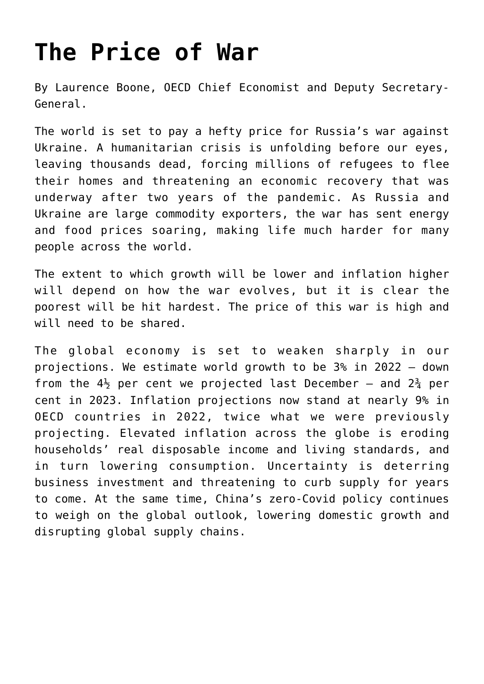## **[The Price of War](https://oecdecoscope.blog/2022/06/08/the-price-of-war/)**

By Laurence Boone, OECD Chief Economist and Deputy Secretary-General.

The world is set to pay a hefty price for Russia's war against Ukraine. A humanitarian crisis is unfolding before our eyes, leaving thousands dead, forcing millions of refugees to flee their homes and threatening an economic recovery that was underway after two years of the pandemic. As Russia and Ukraine are large commodity exporters, the war has sent energy and food prices soaring, making life much harder for many people across the world.

The extent to which growth will be lower and inflation higher will depend on how the war evolves, but it is clear the poorest will be hit hardest. The price of this war is high and will need to be shared.

The global economy is set to weaken sharply in our projections. We estimate world growth to be 3% in 2022 – down from the  $4\frac{1}{2}$  per cent we projected last December – and  $2\frac{3}{4}$  per cent in 2023. Inflation projections now stand at nearly 9% in OECD countries in 2022, twice what we were previously projecting. Elevated inflation across the globe is eroding households' real disposable income and living standards, and in turn lowering consumption. Uncertainty is deterring business investment and threatening to curb supply for years to come. At the same time, China's zero-Covid policy continues to weigh on the global outlook, lowering domestic growth and disrupting global supply chains.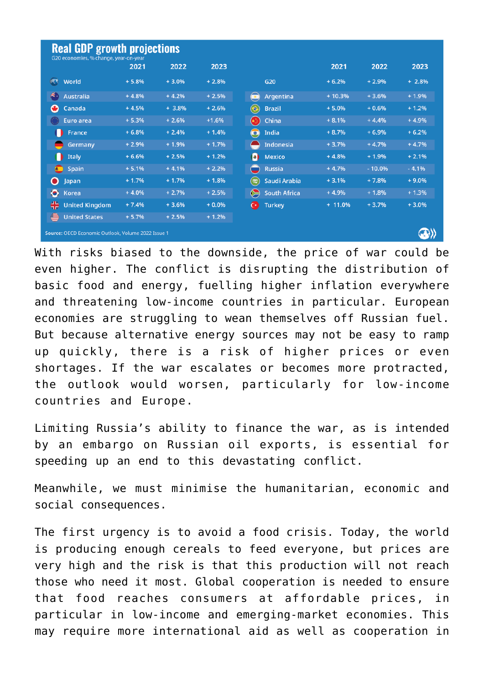| <b>Real GDP growth projections</b><br>G20 economies, % change, year-on-year |         |         |         |                                           |           |          |         |
|-----------------------------------------------------------------------------|---------|---------|---------|-------------------------------------------|-----------|----------|---------|
|                                                                             | 2021    | 2022    | 2023    |                                           | 2021      | 2022     | 2023    |
| (1, 3)<br>World                                                             | $+5.8%$ | $+3.0%$ | $+2.8%$ | G <sub>20</sub>                           | $+6.2%$   | $+2.9%$  | $+2.8%$ |
| s.<br>Australia                                                             | $+4.8%$ | $+4.2%$ | $+2.5%$ | $\bullet$<br>Argentina                    | $+10.3%$  | $+3.6%$  | $+1.9%$ |
| $\bullet$<br>Canada                                                         | $+4.5%$ | $+3.8%$ | $+2.6%$ | $\bullet$<br><b>Brazil</b>                | $+5.0%$   | $+0.6%$  | $+1.2%$ |
| <b>Euro area</b>                                                            | $+5.3%$ | $+2.6%$ | $+1.6%$ | China<br>(★)                              | $+8.1%$   | $+4.4%$  | $+4.9%$ |
| France                                                                      | $+6.8%$ | $+2.4%$ | $+1.4%$ | $\bigcirc$<br>India                       | $+8.7%$   | $+6.9%$  | $+6.2%$ |
| Germany                                                                     | $+2.9%$ | $+1.9%$ | $+1.7%$ | <b>Indonesia</b>                          | $+3.7%$   | $+4.7%$  | $+4.7%$ |
| <b>Italy</b>                                                                | $+6.6%$ | $+2.5%$ | $+1.2%$ | $\left  \bullet \right $<br><b>Mexico</b> | $+4.8%$   | $+1.9%$  | $+2.1%$ |
| spain                                                                       | $+5.1%$ | $+4.1%$ | $+2.2%$ | <b>Russia</b><br>$\blacksquare$           | $+4.7%$   | $-10.0%$ | $-4.1%$ |
| O<br>Japan                                                                  | $+1.7%$ | $+1.7%$ | $+1.8%$ | (吧)<br>Saudi Arabia                       | $+3.1%$   | $+7.8%$  | $+9.0%$ |
| $\bullet$<br>Korea                                                          | $+4.0%$ | $+2.7%$ | $+2.5%$ | <b>South Africa</b>                       | $+4.9%$   | $+1.8%$  | $+1.3%$ |
| ₩<br><b>United Kingdom</b>                                                  | $+7.4%$ | $+3.6%$ | $+0.0%$ | $\mathbf{C}$<br><b>Turkey</b>             | $+ 11.0%$ | $+3.7%$  | $+3.0%$ |
| ⊜<br><b>United States</b>                                                   | $+5.7%$ | $+2.5%$ | $+1.2%$ |                                           |           |          |         |
| Source: OECD Economic Outlook, Volume 2022 Issue 1                          |         |         |         |                                           |           |          |         |

With risks biased to the downside, the price of war could be even higher. The conflict is disrupting the distribution of basic food and energy, fuelling higher inflation everywhere and threatening low-income countries in particular. European economies are struggling to wean themselves off Russian fuel. But because alternative energy sources may not be easy to ramp up quickly, there is a risk of higher prices or even shortages. If the war escalates or becomes more protracted, the outlook would worsen, particularly for low-income countries and Europe.

Limiting Russia's ability to finance the war, as is intended by an embargo on Russian oil exports, is essential for speeding up an end to this devastating conflict.

Meanwhile, we must minimise the humanitarian, economic and social consequences.

The first urgency is to avoid a food crisis. Today, the world is producing enough cereals to feed everyone, but prices are very high and the risk is that this production will not reach those who need it most. Global cooperation is needed to ensure that food reaches consumers at affordable prices, in particular in low-income and emerging-market economies. This may require more international aid as well as cooperation in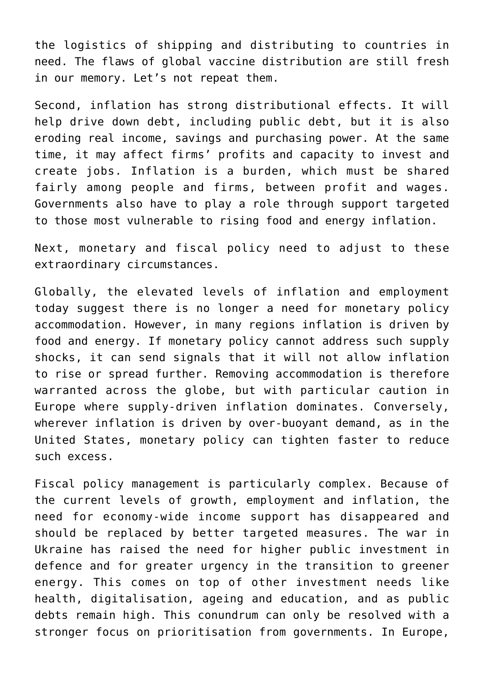the logistics of shipping and distributing to countries in need. The flaws of global vaccine distribution are still fresh in our memory. Let's not repeat them.

Second, inflation has strong distributional effects. It will help drive down debt, including public debt, but it is also eroding real income, savings and purchasing power. At the same time, it may affect firms' profits and capacity to invest and create jobs. Inflation is a burden, which must be shared fairly among people and firms, between profit and wages. Governments also have to play a role through support targeted to those most vulnerable to rising food and energy inflation.

Next, monetary and fiscal policy need to adjust to these extraordinary circumstances.

Globally, the elevated levels of inflation and employment today suggest there is no longer a need for monetary policy accommodation. However, in many regions inflation is driven by food and energy. If monetary policy cannot address such supply shocks, it can send signals that it will not allow inflation to rise or spread further. Removing accommodation is therefore warranted across the globe, but with particular caution in Europe where supply-driven inflation dominates. Conversely, wherever inflation is driven by over-buoyant demand, as in the United States, monetary policy can tighten faster to reduce such excess.

Fiscal policy management is particularly complex. Because of the current levels of growth, employment and inflation, the need for economy-wide income support has disappeared and should be replaced by better targeted measures. The war in Ukraine has raised the need for higher public investment in defence and for greater urgency in the transition to greener energy. This comes on top of other investment needs like health, digitalisation, ageing and education, and as public debts remain high. This conundrum can only be resolved with a stronger focus on prioritisation from governments. In Europe,